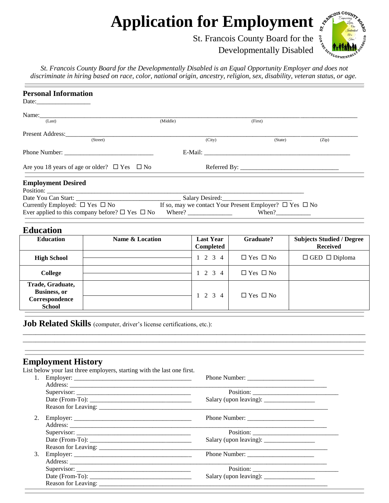## **Application for Employment**

St. Francois County Board for the



Developmentally Disabled

*St. Francois County Board for the Developmentally Disabled is an Equal Opportunity Employer and does not discriminate in hiring based on race, color, national origin, ancestry, religion, sex, disability, veteran status, or age.*

| <b>Personal Information</b>                                                 |                                                                                                             |                                                                                                                                                                                                                                                                                                                                                                                                                                                                                                                        |                              |                                                     |
|-----------------------------------------------------------------------------|-------------------------------------------------------------------------------------------------------------|------------------------------------------------------------------------------------------------------------------------------------------------------------------------------------------------------------------------------------------------------------------------------------------------------------------------------------------------------------------------------------------------------------------------------------------------------------------------------------------------------------------------|------------------------------|-----------------------------------------------------|
| (Last)                                                                      |                                                                                                             |                                                                                                                                                                                                                                                                                                                                                                                                                                                                                                                        |                              |                                                     |
|                                                                             | (Middle)                                                                                                    |                                                                                                                                                                                                                                                                                                                                                                                                                                                                                                                        | (First)                      |                                                     |
| Present Address:                                                            | (Street)                                                                                                    | (City)                                                                                                                                                                                                                                                                                                                                                                                                                                                                                                                 | (State)                      | (Zip)                                               |
|                                                                             |                                                                                                             |                                                                                                                                                                                                                                                                                                                                                                                                                                                                                                                        |                              |                                                     |
|                                                                             | Are you 18 years of age or older? $\Box$ Yes $\Box$ No                                                      |                                                                                                                                                                                                                                                                                                                                                                                                                                                                                                                        |                              |                                                     |
| <b>Employment Desired</b>                                                   |                                                                                                             |                                                                                                                                                                                                                                                                                                                                                                                                                                                                                                                        |                              |                                                     |
|                                                                             |                                                                                                             |                                                                                                                                                                                                                                                                                                                                                                                                                                                                                                                        |                              |                                                     |
|                                                                             |                                                                                                             |                                                                                                                                                                                                                                                                                                                                                                                                                                                                                                                        |                              |                                                     |
|                                                                             | Currently Employed: $\Box$ Yes $\Box$ No<br>Ever applied to this company before? $\square$ Yes $\square$ No | If so, may we contact Your Present Employer? $\Box$ Yes $\Box$ No<br>Where? $\frac{1}{\sqrt{1-\frac{1}{2}} \cdot \frac{1}{2} \cdot \frac{1}{2} \cdot \frac{1}{2} \cdot \frac{1}{2} \cdot \frac{1}{2} \cdot \frac{1}{2} \cdot \frac{1}{2} \cdot \frac{1}{2} \cdot \frac{1}{2} \cdot \frac{1}{2} \cdot \frac{1}{2} \cdot \frac{1}{2} \cdot \frac{1}{2} \cdot \frac{1}{2} \cdot \frac{1}{2} \cdot \frac{1}{2} \cdot \frac{1}{2} \cdot \frac{1}{2} \cdot \frac{1}{2} \cdot \frac{1}{2} \cdot \frac{1}{2} \cdot \frac{1}{2$ |                              |                                                     |
| <b>Education</b>                                                            |                                                                                                             |                                                                                                                                                                                                                                                                                                                                                                                                                                                                                                                        |                              |                                                     |
| <b>Education</b>                                                            | Name & Location                                                                                             | <b>Last Year</b><br>Completed                                                                                                                                                                                                                                                                                                                                                                                                                                                                                          | Graduate?                    | <b>Subjects Studied / Degree</b><br><b>Received</b> |
| <b>High School</b>                                                          |                                                                                                             | $1 \t2 \t3 \t4$                                                                                                                                                                                                                                                                                                                                                                                                                                                                                                        | $\Box$<br>Yes $\ \Box$<br>No | $\Box$ GED $\Box$ Diploma                           |
| <b>College</b>                                                              |                                                                                                             | $1 \t2 \t3 \t4$                                                                                                                                                                                                                                                                                                                                                                                                                                                                                                        | $\Box$ Yes $\Box$ No         |                                                     |
| Trade, Graduate,<br><b>Business</b> , or<br>Correspondence<br><b>School</b> |                                                                                                             | $1\quad 2\quad 3$<br>4                                                                                                                                                                                                                                                                                                                                                                                                                                                                                                 | $\Box$ Yes $\Box$ No         |                                                     |
|                                                                             | Job Related Skills (computer, driver's license certifications, etc.):                                       |                                                                                                                                                                                                                                                                                                                                                                                                                                                                                                                        |                              |                                                     |
| <b>Employment History</b><br>1.                                             | List below your last three employers, starting with the last one first.                                     |                                                                                                                                                                                                                                                                                                                                                                                                                                                                                                                        |                              |                                                     |
| 2.                                                                          |                                                                                                             | <u> 1980 - Johann Barn, fransk politik (d. 1980)</u>                                                                                                                                                                                                                                                                                                                                                                                                                                                                   |                              |                                                     |
| 3.                                                                          |                                                                                                             |                                                                                                                                                                                                                                                                                                                                                                                                                                                                                                                        |                              |                                                     |